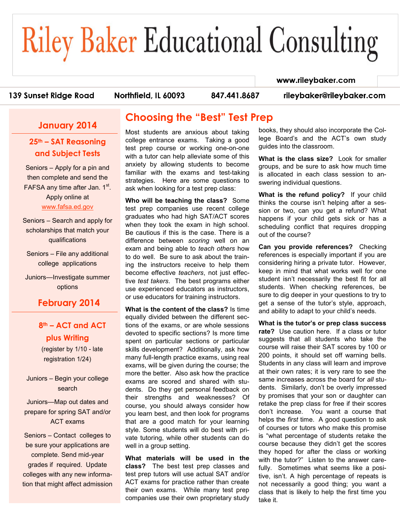# **Riley Baker Educational Consulting**

#### 139 Sunset Ridge Road

Northfield, IL 60093

847.441.8687

rileybaker@rileybaker.com

#### **January 2014**

#### **25th – SAT Reasoning and Subject Tests**

Seniors – Apply for a pin and then complete and send the FAFSA any time after Jan. 1st. Apply online at [www.fafsa.ed.gov](http://www.fafsa.ed.gov)

Seniors – Search and apply for scholarships that match your qualifications

Seniors – File any additional college applications

Juniors—Investigate summer options

#### **February 2014**

### **8th – ACT and ACT plus Writing**

(register by 1/10 - late registration 1/24)

Juniors – Begin your college search

Juniors—Map out dates and prepare for spring SAT and/or ACT exams

Seniors – Contact colleges to be sure your applications are complete. Send mid-year grades if required. Update colleges with any new information that might affect admission

## **Choosing the "Best" Test Prep**

Most students are anxious about taking college entrance exams. Taking a good test prep course or working one-on-one with a tutor can help alleviate some of this anxiety by allowing students to become familiar with the exams and test-taking strategies. Here are some questions to ask when looking for a test prep class:

**Who will be teaching the class?** Some test prep companies use recent college graduates who had high SAT/ACT scores when they took the exam in high school. Be cautious if this is the case. There is a difference between *scoring* well on an exam and being able to *teach others* how to do well. Be sure to ask about the training the instructors receive to help them become effective *teachers*, not just effective *test takers*. The best programs either use experienced educators as instructors, or use educators for training instructors.

**What is the content of the class?** Is time equally divided between the different sections of the exams, or are whole sessions devoted to specific sections? Is more time spent on particular sections or particular skills development? Additionally, ask how many full-length practice exams, using real exams, will be given during the course; the more the better. Also ask how the practice exams are scored and shared with students. Do they get personal feedback on their strengths and weaknesses? Of course, you should always consider how you learn best, and then look for programs that are a good match for your learning style. Some students will do best with private tutoring, while other students can do well in a group setting.

**What materials will be used in the class?** The best test prep classes and test prep tutors will use actual SAT and/or ACT exams for practice rather than create their own exams. While many test prep companies use their own proprietary study

books, they should also incorporate the College Board's and the ACT's own study guides into the classroom.

www.rileybaker.com

**What is the class size?** Look for smaller groups, and be sure to ask how much time is allocated in each class session to answering individual questions.

**What is the refund policy?** If your child thinks the course isn't helping after a session or two, can you get a refund? What happens if your child gets sick or has a scheduling conflict that requires dropping out of the course?

**Can you provide references?** Checking references is especially important if you are considering hiring a private tutor. However, keep in mind that what works well for one student isn't necessarily the best fit for all students. When checking references, be sure to dig deeper in your questions to try to get a sense of the tutor's style, approach, and ability to adapt to your child's needs.

**What is the tutor's or prep class success rate?** Use caution here. If a class or tutor suggests that all students who take the course will raise their SAT scores by 100 or 200 points, it should set off warning bells. Students in any class will learn and improve at their own rates; it is very rare to see the same increases across the board for *all* students. Similarly, don't be overly impressed by promises that your son or daughter can retake the prep class for free if their scores don't increase. You want a course that helps the *first* time. A good question to ask of courses or tutors who make this promise is "what percentage of students retake the course because they didn't get the scores they hoped for after the class or working with the tutor?" Listen to the answer carefully. Sometimes what seems like a positive, isn't. A high percentage of repeats is not necessarily a good thing; you want a class that is likely to help the first time you take it.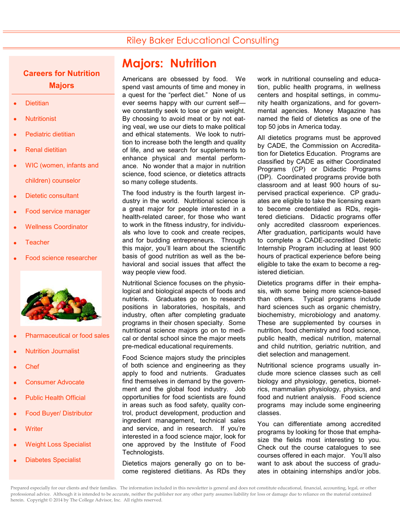### Riley Baker Educational Consulting

### **Careers for Nutrition Majors**

- **Dietitian**
- **Nutritionist**
- Pediatric dietitian
- Renal dietitian
- WIC (women, infants and children) counselor
- Dietetic consultant
- Food service manager
- Wellness Coordinator
- **Teacher**
- Food science researcher



- Pharmaceutical or food sales
- Nutrition Journalist
- Chef
- Consumer Advocate
- Public Health Official
- Food Buyer/ Distributor
- **Writer**
- Weight Loss Specialist
- Diabetes Specialist

# **Majors: Nutrition**

Americans are obsessed by food. We spend vast amounts of time and money in a quest for the "perfect diet." None of us ever seems happy with our current self we constantly seek to lose or gain weight. By choosing to avoid meat or by not eating veal, we use our diets to make political and ethical statements. We look to nutrition to increase both the length and quality of life, and we search for supplements to enhance physical and mental performance. No wonder that a major in nutrition science, food science, or dietetics attracts so many college students.

The food industry is the fourth largest industry in the world. Nutritional science is a great major for people interested in a health-related career, for those who want to work in the fitness industry, for individuals who love to cook and create recipes, and for budding entrepreneurs. Through this major, you'll learn about the scientific basis of good nutrition as well as the behavioral and social issues that affect the way people view food.

Nutritional Science focuses on the physiological and biological aspects of foods and nutrients. Graduates go on to research positions in laboratories, hospitals, and industry, often after completing graduate programs in their chosen specialty. Some nutritional science majors go on to medical or dental school since the major meets pre-medical educational requirements.

Food Science majors study the principles of both science and engineering as they apply to food and nutrients. Graduates find themselves in demand by the government and the global food industry. Job opportunities for food scientists are found in areas such as food safety, quality control, product development, production and ingredient management, technical sales and service, and in research. If you're interested in a food science major, look for one approved by the Institute of Food Technologists.

Dietetics majors generally go on to become registered dietitians. As RDs they work in nutritional counseling and education, public health programs, in wellness centers and hospital settings, in community health organizations, and for governmental agencies. Money Magazine has named the field of dietetics as one of the top 50 jobs in America today.

All dietetics programs must be approved by CADE, the Commission on Accreditation for Dietetics Education. Programs are classified by CADE as either Coordinated Programs (CP) or Didactic Programs (DP). Coordinated programs provide both classroom and at least 900 hours of supervised practical experience. CP graduates are eligible to take the licensing exam to become credentialed as RDs, registered dieticians. Didactic programs offer only accredited classroom experiences. After graduation, participants would have to complete a CADE-accredited Dietetic Internship Program including at least 900 hours of practical experience before being eligible to take the exam to become a registered dietician.

Dietetics programs differ in their emphasis, with some being more science-based than others. Typical programs include hard sciences such as organic chemistry, biochemistry, microbiology and anatomy. These are supplemented by courses in nutrition, food chemistry and food science, public health, medical nutrition, maternal and child nutrition, geriatric nutrition, and diet selection and management.

Nutritional science programs usually include more science classes such as cell biology and physiology, genetics, biometrics, mammalian physiology, physics, and food and nutrient analysis. Food science programs may include some engineering classes.

You can differentiate among accredited programs by looking for those that emphasize the fields most interesting to you. Check out the course catalogues to see courses offered in each major. You'll also want to ask about the success of graduates in obtaining internships and/or jobs.

Prepared especially for our clients and their families. The information included in this newsletter is general and does not constitute educational, financial, accounting, legal, or other professional advice. Although it is intended to be accurate, neither the publisher nor any other party assumes liability for loss or damage due to reliance on the material contained herein. Copyright © 2014 by The College Advisor, Inc. All rights reserved.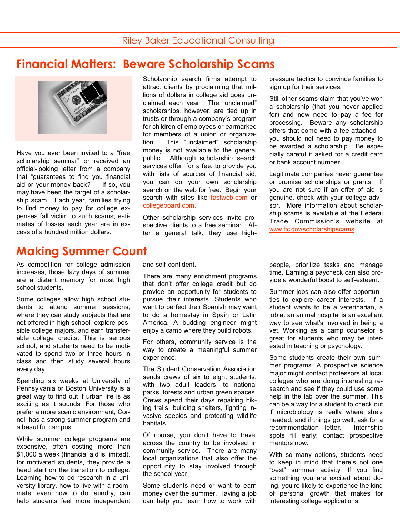## **Financial Matters: Beware Scholarship Scams**



Have you ever been invited to a "free scholarship seminar" or received an official-looking letter from a company that "guarantees to find you financial aid or your money back?" If so, you may have been the target of a scholarship scam. Each year, families trying to find money to pay for college expenses fall victim to such scams; estimates of losses each year are in excess of a hundred million dollars.

#### Scholarship search firms attempt to attract clients by proclaiming that millions of dollars in college aid goes unclaimed each year. The "unclaimed" scholarships, however, are tied up in trusts or through a company's program for children of employees or earmarked for members of a union or organization. This "unclaimed" scholarship money is not available to the general public. Although scholarship search services offer, for a fee, to provide you with lists of sources of financial aid, you can do your own scholarship search on the web for free. Begin your search with sites like **[fastweb.com](http://www.fastweb.com/)** or [collegeboard.com.](https://bigfuture.collegeboard.org/scholarship-search)

Other scholarship services invite prospective clients to a free seminar. After a general talk, they use highpressure tactics to convince families to sign up for their services.

Still other scams claim that you've won a scholarship (that you never applied for) and now need to pay a fee for processing. Beware any scholarship offers that come with a fee attached you should not need to pay money to be awarded a scholarship. Be especially careful if asked for a credit card or bank account number.

Legitimate companies never guarantee or promise scholarships or grants. If you are not sure if an offer of aid is genuine, check with your college advisor. More information about scholarship scams is available at the Federal Trade Commission's website at [www.ftc.gov/scholarshipscams.](http://www.consumer.ftc.gov/articles/0082-scholarship-and-financial-aid-scams)

## **Making Summer Count**

As competition for college admission increases, those lazy days of summer are a distant memory for most high school students.

Some colleges allow high school students to attend summer sessions, where they can study subjects that are not offered in high school, explore possible college majors, and earn transferable college credits. This is serious school, and students need to be motivated to spend two or three hours in class and then study several hours every day.

Spending six weeks at University of Pennsylvania or Boston University is a great way to find out if urban life is as exciting as it sounds. For those who prefer a more scenic environment, Cornell has a strong summer program and a beautiful campus.

While summer college programs are expensive, often costing more than \$1,000 a week (financial aid is limited), for motivated students, they provide a head start on the transition to college. Learning how to do research in a university library, how to live with a roommate, even how to do laundry, can help students feel more independent and self-confident.

There are many enrichment programs that don't offer college credit but do provide an opportunity for students to pursue their interests. Students who want to perfect their Spanish may want to do a homestay in Spain or Latin America. A budding engineer might enjoy a camp where they build robots.

For others, community service is the way to create a meaningful summer experience.

The Student Conservation Association sends crews of six to eight students, with two adult leaders, to national parks, forests and urban green spaces. Crews spend their days repairing hiking trails, building shelters, fighting invasive species and protecting wildlife habitats.

Of course, you don't have to travel across the country to be involved in community service. There are many local organizations that also offer the opportunity to stay involved through the school year.

Some students need or want to earn money over the summer. Having a job can help you learn how to work with people, prioritize tasks and manage time. Earning a paycheck can also provide a wonderful boost to self-esteem.

Summer jobs can also offer opportunities to explore career interests. If a student wants to be a veterinarian, a job at an animal hospital is an excellent way to see what's involved in being a vet. Working as a camp counselor is great for students who may be interested in teaching or psychology.

Some students create their own summer programs. A prospective science major might contact professors at local colleges who are doing interesting research and see if they could use some help in the lab over the summer. This can be a way for a student to check out if microbiology is really where she's headed, and if things go well, ask for a recommendation letter. Internship spots fill early; contact prospective mentors now.

With so many options, students need to keep in mind that there's not one "best" summer activity. If you find something you are excited about doing, you're likely to experience the kind of personal growth that makes for interesting college applications.